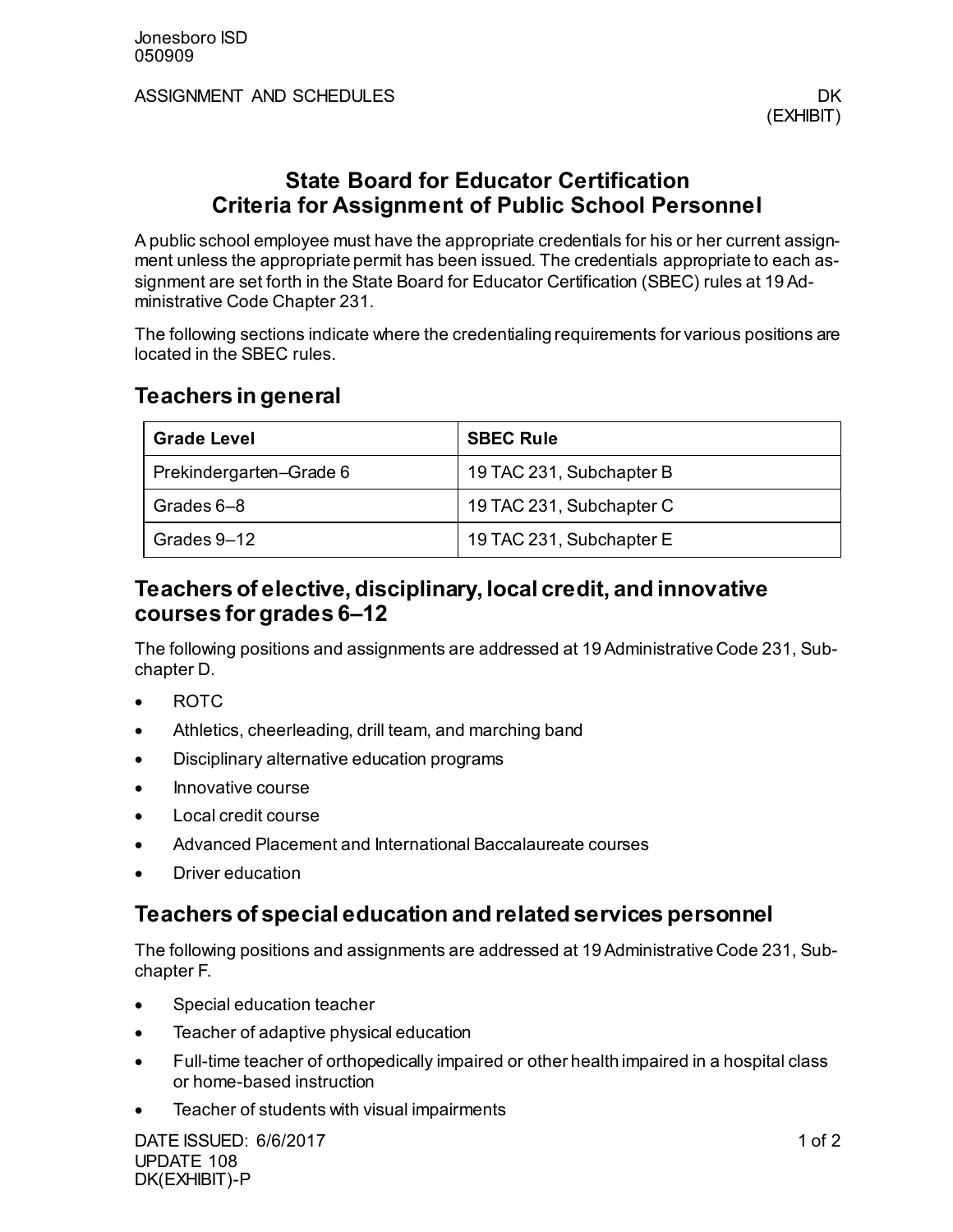ASSIGNMENT AND SCHEDULES **DK ASSIGNMENT** AND SCHEDULES

# **State Board for Educator Certification Criteria for Assignment of Public School Personnel**

A public school employee must have the appropriate credentials for his or her current assignment unless the appropriate permit has been issued. The credentials appropriate to each assignment are set forth in the State Board for Educator Certification (SBEC) rules at 19 Administrative Code Chapter 231.

The following sections indicate where the credentialing requirements for various positions are located in the SBEC rules.

### **Teachers in general**

| <b>Grade Level</b>      | <b>SBEC Rule</b>         |
|-------------------------|--------------------------|
| Prekindergarten-Grade 6 | 19 TAC 231, Subchapter B |
| Grades 6–8              | 19 TAC 231, Subchapter C |
| Grades 9-12             | 19 TAC 231, Subchapter E |

## **Teachers of elective, disciplinary, local credit, and innovative courses for grades 6–12**

The following positions and assignments are addressed at 19 Administrative Code 231, Subchapter D.

- ROTC
- Athletics, cheerleading, drill team, and marching band
- Disciplinary alternative education programs
- Innovative course
- Local credit course
- Advanced Placement and International Baccalaureate courses
- Driver education

# **Teachers of special education and related services personnel**

The following positions and assignments are addressed at 19 Administrative Code 231, Subchapter F.

- Special education teacher
- Teacher of adaptive physical education
- Full-time teacher of orthopedically impaired or other health impaired in a hospital class or home-based instruction
- Teacher of students with visual impairments

DATE ISSUED: 6/6/2017 1 of 2 UPDATE 108 DK(EXHIBIT)-P